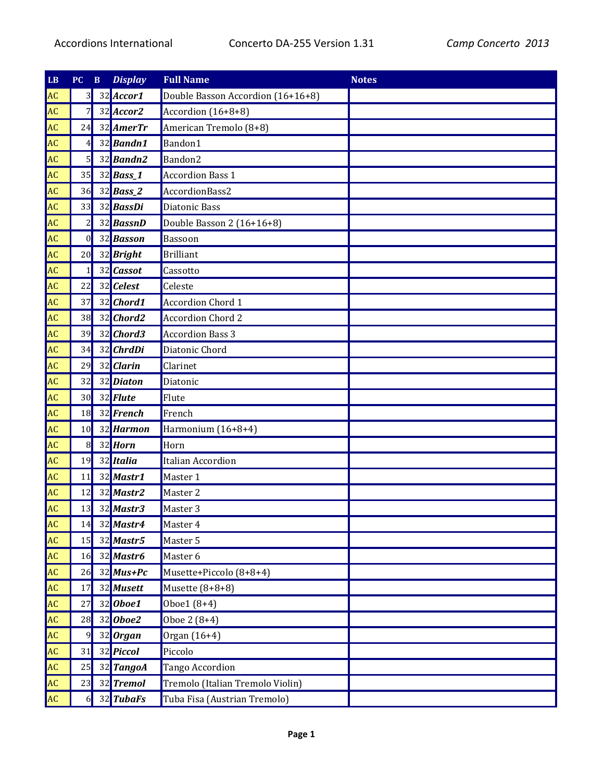| LB        | PC             | $\, {\bf B}$ | <b>Display</b>     | <b>Full Name</b>                  | <b>Notes</b> |
|-----------|----------------|--------------|--------------------|-----------------------------------|--------------|
| <b>AC</b> | 3 <sup>l</sup> |              | 32 Accor1          | Double Basson Accordion (16+16+8) |              |
| <b>AC</b> | 7              |              | $32$ Accor2        | Accordion (16+8+8)                |              |
| <b>AC</b> | 24             |              | 32 AmerTr          | American Tremolo (8+8)            |              |
| <b>AC</b> | 4              |              | 32 Bandn1          | Bandon1                           |              |
| <b>AC</b> | $5 \mid$       |              | 32 Bandn2          | Bandon2                           |              |
| <b>AC</b> | 35             |              | 32 <b>Bass_1</b>   | <b>Accordion Bass 1</b>           |              |
| <b>AC</b> | 36             |              | $32$ Bass_2        | AccordionBass2                    |              |
| <b>AC</b> | 33             |              | 32 BassDi          | Diatonic Bass                     |              |
| <b>AC</b> | $\overline{c}$ |              | 32 <b>BassnD</b>   | Double Basson 2 (16+16+8)         |              |
| <b>AC</b> | $\mathbf{0}$   |              | 32 Basson          | Bassoon                           |              |
| <b>AC</b> | 20             |              | 32 Bright          | <b>Brilliant</b>                  |              |
| <b>AC</b> | $\mathbf{1}$   |              | 32 Cassot          | Cassotto                          |              |
| <b>AC</b> | 22             |              | 32 Celest          | Celeste                           |              |
| <b>AC</b> | 37             |              | 32 Chord1          | <b>Accordion Chord 1</b>          |              |
| <b>AC</b> | 38             |              | 32 Chord2          | <b>Accordion Chord 2</b>          |              |
| <b>AC</b> | 39             |              | 32 Chord3          | <b>Accordion Bass 3</b>           |              |
| <b>AC</b> | 34             |              | 32 ChrdDi          | Diatonic Chord                    |              |
| <b>AC</b> | 29             |              | 32 Clarin          | Clarinet                          |              |
| <b>AC</b> | 32             |              | 32 Diaton          | Diatonic                          |              |
| <b>AC</b> | 30             |              | 32 Flute           | Flute                             |              |
| <b>AC</b> | 18             |              | 32 French          | French                            |              |
| <b>AC</b> | 10             |              | 32 Harmon          | Harmonium (16+8+4)                |              |
| <b>AC</b> | 8              |              | 32 Horn            | Horn                              |              |
| <b>AC</b> | 19             |              | 32 Italia          | Italian Accordion                 |              |
| <b>AC</b> | 11             |              | 32 Mastr1          | Master 1                          |              |
| <b>AC</b> | 12             |              | 32 Mastr2          | Master 2                          |              |
| <b>AC</b> | 13             |              | 32 Mastr3          | Master 3                          |              |
| <b>AC</b> | 14             |              | 32 Mastr4          | Master 4                          |              |
| <b>AC</b> | 15             |              | 32 Mastr5          | Master 5                          |              |
| <b>AC</b> | 16             |              | 32 Mastr6          | Master 6                          |              |
| <b>AC</b> | 26             |              | $32$ <i>Mus+Pc</i> | Musette+Piccolo (8+8+4)           |              |
| <b>AC</b> | 17             |              | 32 Musett          | Musette $(8+8+8)$                 |              |
| <b>AC</b> | 27             |              | $32$ <i>Oboe1</i>  | Oboe1 (8+4)                       |              |
| <b>AC</b> | 28             |              | $32$ <i>Oboe2</i>  | Oboe 2 (8+4)                      |              |
| <b>AC</b> | $\overline{9}$ |              | 32 Organ           | Organ (16+4)                      |              |
| <b>AC</b> | 31             |              | 32 Piccol          | Piccolo                           |              |
| <b>AC</b> | 25             |              | 32 TangoA          | Tango Accordion                   |              |
| <b>AC</b> | 23             |              | 32 Tremol          | Tremolo (Italian Tremolo Violin)  |              |
| <b>AC</b> | <sup>6</sup>   |              | 32 TubaFs          | Tuba Fisa (Austrian Tremolo)      |              |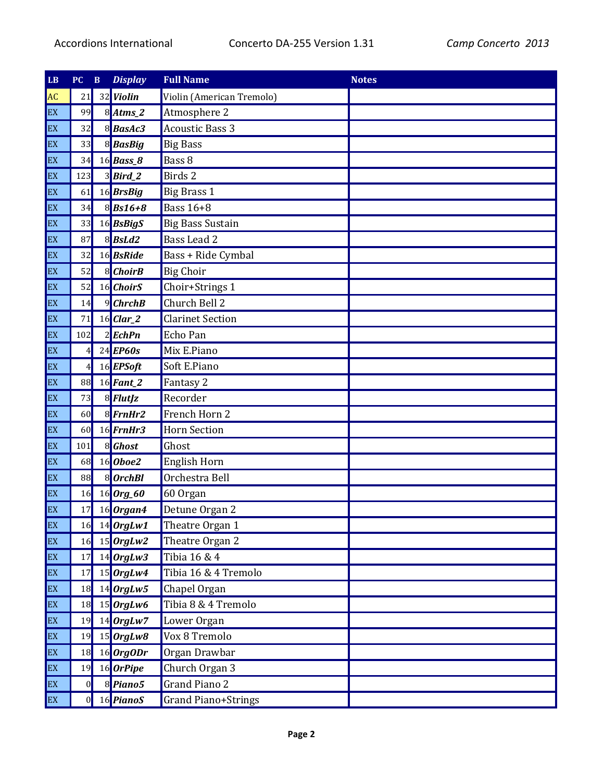| $\mathbf{LB}$ | PC             | $\, {\bf B}$ | <b>Display</b>              | <b>Full Name</b>          | <b>Notes</b> |
|---------------|----------------|--------------|-----------------------------|---------------------------|--------------|
| AC            | 21             |              | 32 Violin                   | Violin (American Tremolo) |              |
| EX            | 99             |              | $8$ Atms_2                  | Atmosphere 2              |              |
| EX            | 32             |              | 8BasAc3                     | <b>Acoustic Bass 3</b>    |              |
| EX            | 33             |              | 8BasBig                     | <b>Big Bass</b>           |              |
| EX            | 34             |              | 16 <b>Bass_8</b>            | Bass 8                    |              |
| EX            | 123            |              | $3$ <i>Bird<sub>2</sub></i> | Birds 2                   |              |
| EX            | 61             |              | 16 BrsBig                   | <b>Big Brass 1</b>        |              |
| EX            | 34             |              | $8$ <i>Bs16+8</i>           | <b>Bass 16+8</b>          |              |
| EX            | 33             |              | 16BsBigS                    | <b>Big Bass Sustain</b>   |              |
| EX            | 87             |              | $8$ <i>BsLd2</i>            | <b>Bass Lead 2</b>        |              |
| EX            | 32             |              | 16 <b>BsRide</b>            | Bass + Ride Cymbal        |              |
| EX            | 52             |              | 8 ChoirB                    | <b>Big Choir</b>          |              |
| EX            | 52             |              | 16 ChoirS                   | Choir+Strings 1           |              |
| EX            | 14             |              | $9$ ChrchB                  | Church Bell 2             |              |
| EX            | 71             |              | $16$ Clar_2                 | <b>Clarinet Section</b>   |              |
| EX            | 102            |              | $2$ EchPn                   | Echo Pan                  |              |
| EX            | 4 <sup>1</sup> |              | $24$ EP60s                  | Mix E.Piano               |              |
| EX            | 4              |              | 16 EPSoft                   | Soft E.Piano              |              |
| EX            | 88             |              | $16$ Fant_2                 | Fantasy 2                 |              |
| EX            | 73             |              | 8 FlutJz                    | Recorder                  |              |
| EX            | 60             |              | $8$ <i>FrnHr2</i>           | French Horn 2             |              |
| EX            | 60             |              | $16$ FrnHr3                 | <b>Horn Section</b>       |              |
| EX            | 101            |              | 8 Ghost                     | Ghost                     |              |
| EX            | 68             |              | 16 Oboe2                    | English Horn              |              |
| EX            | 88             |              | 8 OrchBl                    | Orchestra Bell            |              |
| EX            | 16             |              | $16$ Org_60                 | 60 Organ                  |              |
| EX            | 17             |              | $16$ Organ4                 | Detune Organ 2            |              |
| EX            | 16             |              | $14$ OrgLw1                 | Theatre Organ 1           |              |
| EX            | 16             |              | $15$ <i>OrgLw2</i>          | Theatre Organ 2           |              |
| EX            | 17             |              | $14$ OrgLw3                 | Tibia 16 & 4              |              |
| EX            | 17             |              | $15$ <i>OrgLw4</i>          | Tibia 16 & 4 Tremolo      |              |
| EX            | 18             |              | $14$ OrgLw5                 | Chapel Organ              |              |
| EX            | 18             |              | $15$ OrgLw6                 | Tibia 8 & 4 Tremolo       |              |
| EX            | 19             |              | $14$ OrgLw7                 | Lower Organ               |              |
| EX            | 19             |              | $15$ OrgLw8                 | Vox 8 Tremolo             |              |
| EX            | 18             |              | $16$ OrgODr                 | Organ Drawbar             |              |
| EX            | 19             |              | $16$ OrPipe                 | Church Organ 3            |              |
| EX            | 0              |              | 8 Piano5                    | <b>Grand Piano 2</b>      |              |
| EX            | $\overline{0}$ |              | 16 PianoS                   | Grand Piano+Strings       |              |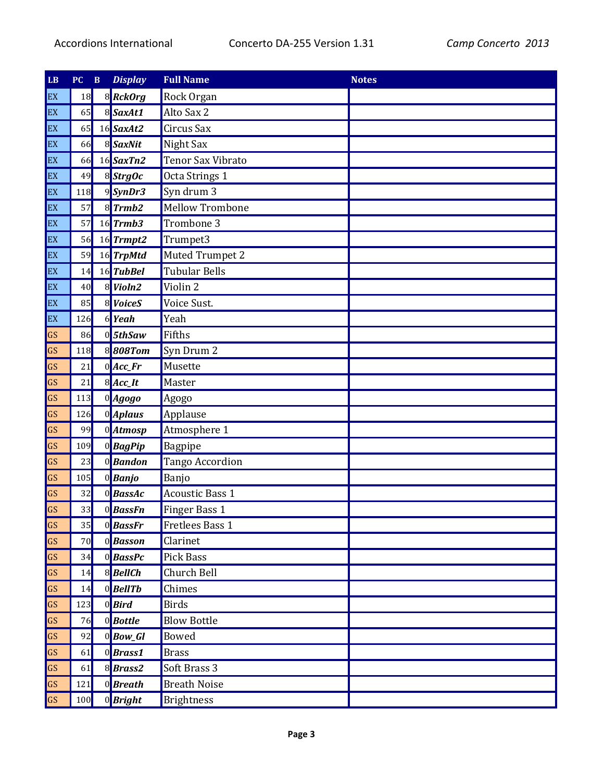| $\mathbf{L}\mathbf{B}$ | PC  | $\, {\bf B}$ | <b>Display</b>    | <b>Full Name</b>       | <b>Notes</b> |
|------------------------|-----|--------------|-------------------|------------------------|--------------|
| EX                     | 18  |              | 8 RckOrg          | Rock Organ             |              |
| EX                     | 65  |              | 8 SaxAt1          | Alto Sax 2             |              |
| EX                     | 65  |              | 16 SaxAt2         | Circus Sax             |              |
| EX                     | 66  |              | 8 SaxNit          | Night Sax              |              |
| EX                     | 66  |              | $16$ SaxTn2       | Tenor Sax Vibrato      |              |
| EX                     | 49  |              | 8 StrgOc          | Octa Strings 1         |              |
| EX                     | 118 |              | 9SynDr3           | Syn drum 3             |              |
| EX                     | 57  |              | $8$ <i>Trmb2</i>  | <b>Mellow Trombone</b> |              |
| EX                     | 57  |              | $16$ Trmb3        | Trombone 3             |              |
| EX                     | 56  |              | $16$ Trmpt2       | Trumpet3               |              |
| EX                     | 59  |              | 16 TrpMtd         | Muted Trumpet 2        |              |
| EX                     | 14  |              | 16 TubBel         | <b>Tubular Bells</b>   |              |
| EX                     | 40  |              | 8 Violn2          | Violin 2               |              |
| EX                     | 85  |              | 8 VoiceS          | Voice Sust.            |              |
| EX                     | 126 |              | $6$ Yeah          | Yeah                   |              |
| GS                     | 86  |              | $0$ 5thSaw        | Fifths                 |              |
| GS                     | 118 |              | 8808Tom           | Syn Drum 2             |              |
| GS                     | 21  |              | $0$ <i>Acc_Fr</i> | Musette                |              |
| GS                     | 21  |              | $8$ <i>Acc_It</i> | Master                 |              |
| GS                     | 113 |              | $0$ <i>Agogo</i>  | Agogo                  |              |
| GS                     | 126 |              | 0 Aplaus          | Applause               |              |
| GS                     | 99  |              | 0 <i>Atmosp</i>   | Atmosphere 1           |              |
| GS                     | 109 |              | 0BagPip           | Bagpipe                |              |
| GS                     | 23  |              | 0 <b>Bandon</b>   | <b>Tango Accordion</b> |              |
| GS                     | 105 |              | $0$ <i>Banjo</i>  | Banjo                  |              |
| GS                     | 32  |              | 0BassAc           | <b>Acoustic Bass 1</b> |              |
| GS                     | 33  |              | 0BassFn           | Finger Bass 1          |              |
| <b>GS</b>              | 35  |              | $0$ <i>BassFr</i> | <b>Fretlees Bass 1</b> |              |
| GS                     | 70  |              | 0Basson           | Clarinet               |              |
| GS                     | 34  |              | 0BassPc           | <b>Pick Bass</b>       |              |
| GS                     | 14  |              | 8BellCh           | Church Bell            |              |
| GS                     | 14  |              | $0$ <i>BellTb</i> | Chimes                 |              |
| GS                     | 123 |              | $0$ <i>Bird</i>   | <b>Birds</b>           |              |
| GS                     | 76  |              | $0$ <i>Bottle</i> | <b>Blow Bottle</b>     |              |
| GS                     | 92  |              | $0$ <i>Bow_Gl</i> | <b>Bowed</b>           |              |
| GS                     | 61  |              | 0Brass1           | <b>Brass</b>           |              |
| GS                     | 61  |              | 8Brass2           | Soft Brass 3           |              |
| GS                     | 121 |              | $0$ <i>Breath</i> | <b>Breath Noise</b>    |              |
| GS                     | 100 |              | 0 <b>Bright</b>   | <b>Brightness</b>      |              |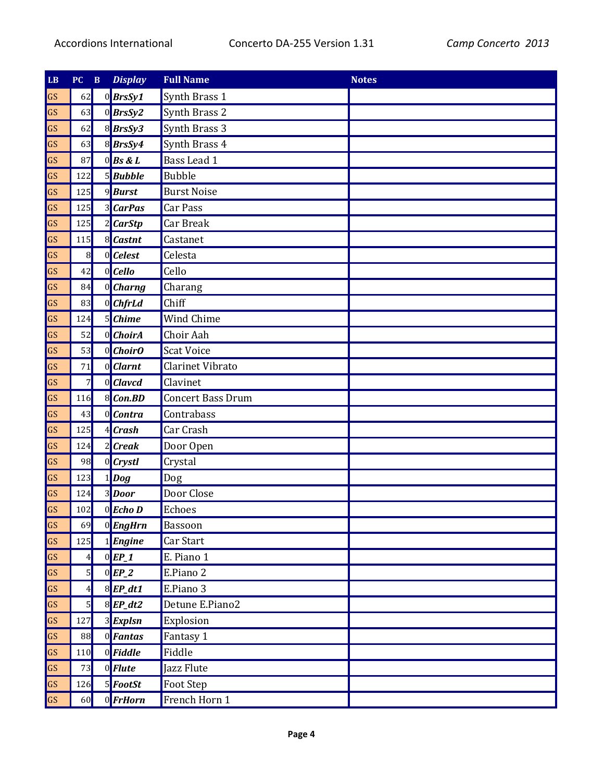| $\mathbf{L}\mathbf{B}$ | PC              | $\, {\bf B}$ | <b>Display</b>        | <b>Full Name</b>         | <b>Notes</b> |
|------------------------|-----------------|--------------|-----------------------|--------------------------|--------------|
| GS                     | 62              |              | 0BrsSy1               | Synth Brass 1            |              |
| GS                     | 63              |              | $0$ <i>BrsSy2</i>     | Synth Brass 2            |              |
| GS                     | 62              |              | 8BrsSy3               | Synth Brass 3            |              |
| GS                     | 63              |              | 8BrsSy4               | Synth Brass 4            |              |
| GS                     | 87              |              | $0$ <i>Bs &amp; L</i> | Bass Lead 1              |              |
| GS                     | 122             |              | 5Bubble               | <b>Bubble</b>            |              |
| GS                     | 125             |              | 9 <b>Burst</b>        | <b>Burst Noise</b>       |              |
| GS                     | 125             |              | <b>3</b> CarPas       | Car Pass                 |              |
| GS                     | 125             |              | 2 CarStp              | Car Break                |              |
| GS                     | 115             |              | 8 Castnt              | Castanet                 |              |
| GS                     | $\vert 8 \vert$ |              | $0$ <i>Celest</i>     | Celesta                  |              |
| GS                     | 42              |              | $0$ <i>Cello</i>      | Cello                    |              |
| GS                     | 84              |              | $0$ <i>Charng</i>     | Charang                  |              |
| GS                     | 83              |              | 0 ChfrLd              | Chiff                    |              |
| GS                     | 124             |              | 5 Chime               | Wind Chime               |              |
| GS                     | 52              |              | $0$ <i>ChoirA</i>     | Choir Aah                |              |
| GS                     | 53              |              | 0 ChoirO              | <b>Scat Voice</b>        |              |
| GS                     | 71              |              | $0$ <i>Clarnt</i>     | Clarinet Vibrato         |              |
| GS                     | $\overline{7}$  |              | $0$ <i>Clavcd</i>     | Clavinet                 |              |
| GS                     | 116             |              | 8 Con.BD              | <b>Concert Bass Drum</b> |              |
| GS                     | 43              |              | 0 Contra              | Contrabass               |              |
| GS                     | 125             |              | $4$ Crash             | Car Crash                |              |
| GS                     | 124             |              | $2$ <i>Creak</i>      | Door Open                |              |
| GS                     | 98              |              | $0$ <i>Crystl</i>     | Crystal                  |              |
| GS                     | 123             |              | $1$ <i>Dog</i>        | Dog                      |              |
| GS                     | 124             |              | 3Door                 | Door Close               |              |
| GS                     | 102             |              | $0$ <i>Echo</i> D     | Echoes                   |              |
| GS                     | 69              |              | $0$ <i>EngHrn</i>     | Bassoon                  |              |
| GS                     | 125             |              | 1 <b>Engine</b>       | Car Start                |              |
| GS                     | 4               |              | $0$ EP_1              | E. Piano 1               |              |
| GS                     | 5               |              | $0$ EP_2              | E.Piano 2                |              |
| GS                     | 4               |              | $8$ <i>EP_dt1</i>     | E.Piano 3                |              |
| GS                     | $\overline{5}$  |              | $8$ <i>EP_dt2</i>     | Detune E.Piano2          |              |
| GS                     | 127             |              | 3 <b>Explsn</b>       | Explosion                |              |
| GS                     | 88              |              | $0$ <i>Fantas</i>     | Fantasy 1                |              |
| GS                     | 110             |              | $0$ <i>Fiddle</i>     | Fiddle                   |              |
| GS                     | 73              |              | $0$ <i>Flute</i>      | Jazz Flute               |              |
| $\overline{\text{GS}}$ | 126             |              | $5$ <i>FootSt</i>     | Foot Step                |              |
| GS                     | 60              |              | 0 <b>FrHorn</b>       | French Horn 1            |              |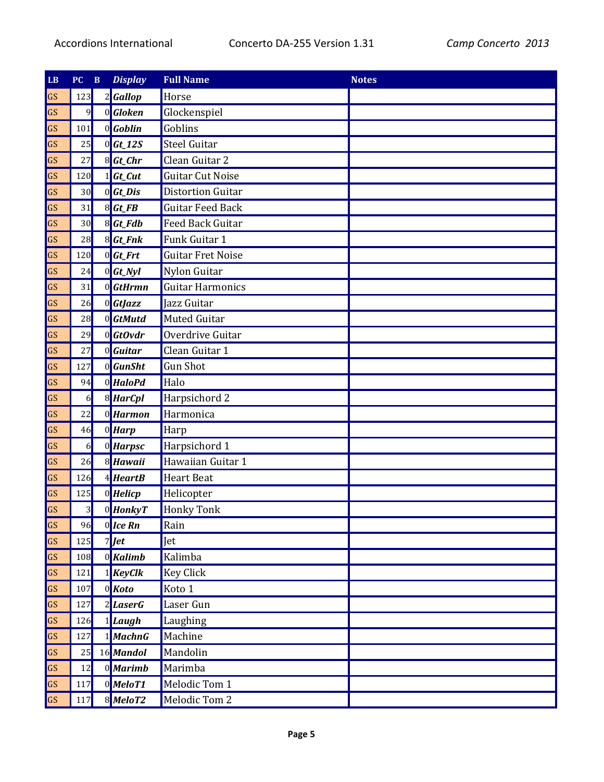| LB | PC  | $\, {\bf B}$ | <b>Display</b>                                                                                                                                                                                                                                                                                                                                      | <b>Full Name</b>         | <b>Notes</b> |
|----|-----|--------------|-----------------------------------------------------------------------------------------------------------------------------------------------------------------------------------------------------------------------------------------------------------------------------------------------------------------------------------------------------|--------------------------|--------------|
| GS | 123 |              | Gallop                                                                                                                                                                                                                                                                                                                                              | Horse                    |              |
| GS | 9   |              | 0 Gloken                                                                                                                                                                                                                                                                                                                                            | Glockenspiel             |              |
| GS | 101 |              | $0$ <i>Goblin</i>                                                                                                                                                                                                                                                                                                                                   | Goblins                  |              |
| GS | 25  |              | $0$ <i>Gt_12S</i>                                                                                                                                                                                                                                                                                                                                   | <b>Steel Guitar</b>      |              |
| GS | 27  |              | $8$ <i>Gt_Chr</i>                                                                                                                                                                                                                                                                                                                                   | Clean Guitar 2           |              |
| GS | 120 |              | Gt_Cut                                                                                                                                                                                                                                                                                                                                              | <b>Guitar Cut Noise</b>  |              |
| GS | 30  |              | $0$ <i>Gt_Dis</i>                                                                                                                                                                                                                                                                                                                                   | <b>Distortion Guitar</b> |              |
| GS | 31  |              | $8$ <i>Gt_FB</i>                                                                                                                                                                                                                                                                                                                                    | <b>Guitar Feed Back</b>  |              |
| GS | 30  |              | 8 Gt_Fdb                                                                                                                                                                                                                                                                                                                                            | <b>Feed Back Guitar</b>  |              |
| GS | 28  |              | $8$ <i>Gt_Fnk</i>                                                                                                                                                                                                                                                                                                                                   | Funk Guitar 1            |              |
| GS | 120 |              | $0$ <i>Gt_Frt</i>                                                                                                                                                                                                                                                                                                                                   | <b>Guitar Fret Noise</b> |              |
| GS | 24  |              | $0$ <i>Gt_Nyl</i>                                                                                                                                                                                                                                                                                                                                   | Nylon Guitar             |              |
| GS | 31  |              | 0 GtHrmn                                                                                                                                                                                                                                                                                                                                            | <b>Guitar Harmonics</b>  |              |
| GS | 26  |              | $0$ <i>GtJazz</i>                                                                                                                                                                                                                                                                                                                                   | Jazz Guitar              |              |
| GS | 28  |              | $0$ <i>GtMutd</i>                                                                                                                                                                                                                                                                                                                                   | <b>Muted Guitar</b>      |              |
| GS | 29  |              | $0$ <i>GtOvdr</i>                                                                                                                                                                                                                                                                                                                                   | Overdrive Guitar         |              |
| GS | 27  |              | $0$ <i>Guitar</i>                                                                                                                                                                                                                                                                                                                                   | Clean Guitar 1           |              |
| GS | 127 |              | $0$ <i>GunSht</i>                                                                                                                                                                                                                                                                                                                                   | <b>Gun Shot</b>          |              |
| GS | 94  |              | 0 HaloPd                                                                                                                                                                                                                                                                                                                                            | Halo                     |              |
| GS | 6   |              | 8 HarCpl                                                                                                                                                                                                                                                                                                                                            | Harpsichord 2            |              |
| GS | 22  |              | 0 <b>Harmon</b>                                                                                                                                                                                                                                                                                                                                     | Harmonica                |              |
| GS | 46  |              | $0$ <i>Harp</i>                                                                                                                                                                                                                                                                                                                                     | Harp                     |              |
| GS | 6   |              | 0 Harpsc                                                                                                                                                                                                                                                                                                                                            | Harpsichord 1            |              |
| GS | 26  |              | 8 Hawaii                                                                                                                                                                                                                                                                                                                                            | Hawaiian Guitar 1        |              |
| GS | 126 |              | $4$ <i>HeartB</i>                                                                                                                                                                                                                                                                                                                                   | <b>Heart Beat</b>        |              |
| GS | 125 |              | $0$ <i>Helicp</i>                                                                                                                                                                                                                                                                                                                                   | Helicopter               |              |
| GS | 3   |              | 0 HonkyT                                                                                                                                                                                                                                                                                                                                            | <b>Honky Tonk</b>        |              |
| GS | 96  |              | $0$ Ice Rn                                                                                                                                                                                                                                                                                                                                          | Rain                     |              |
| GS | 125 |              | $7$ $\phantom{1}$ $\phantom{1}$ $\phantom{1}$ $\phantom{1}$ $\phantom{1}$ $\phantom{1}$ $\phantom{1}$ $\phantom{1}$ $\phantom{1}$ $\phantom{1}$ $\phantom{1}$ $\phantom{1}$ $\phantom{1}$ $\phantom{1}$ $\phantom{1}$ $\phantom{1}$ $\phantom{1}$ $\phantom{1}$ $\phantom{1}$ $\phantom{1}$ $\phantom{1}$ $\phantom{1}$ $\phantom{1}$ $\phantom{1}$ | Jet                      |              |
| GS | 108 |              | 0 <b>Kalimb</b>                                                                                                                                                                                                                                                                                                                                     | Kalimba                  |              |
| GS | 121 |              | $1$ <i>KeyClk</i>                                                                                                                                                                                                                                                                                                                                   | <b>Key Click</b>         |              |
| GS | 107 |              | $0$ <i>Koto</i>                                                                                                                                                                                                                                                                                                                                     | Koto 1                   |              |
| GS | 127 |              | 2 <i>LaserG</i>                                                                                                                                                                                                                                                                                                                                     | Laser Gun                |              |
| GS | 126 |              | $1$ Laugh                                                                                                                                                                                                                                                                                                                                           | Laughing                 |              |
| GS | 127 |              | $1$ <i>MachnG</i>                                                                                                                                                                                                                                                                                                                                   | Machine                  |              |
| GS | 25  |              | 16 Mandol                                                                                                                                                                                                                                                                                                                                           | Mandolin                 |              |
| GS | 12  |              | 0 Marimb                                                                                                                                                                                                                                                                                                                                            | Marimba                  |              |
| GS | 117 |              | $0$ <i>MeloT1</i>                                                                                                                                                                                                                                                                                                                                   | Melodic Tom 1            |              |
| GS | 117 |              | 8MeloT2                                                                                                                                                                                                                                                                                                                                             | Melodic Tom 2            |              |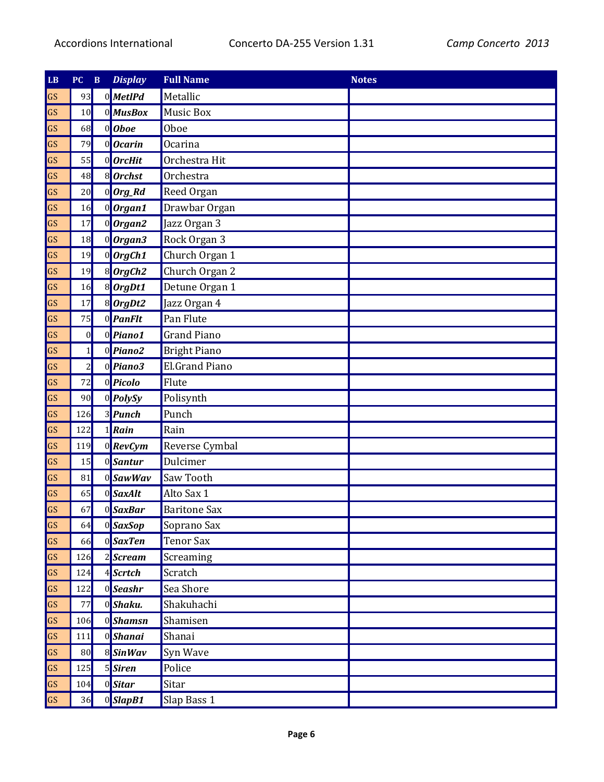| LB | $\overline{\mathbf{PC}}$ | $\, {\bf B}$ | <b>Display</b>         | <b>Full Name</b>      | <b>Notes</b> |
|----|--------------------------|--------------|------------------------|-----------------------|--------------|
| GS | 93                       |              | 0MetIPd                | Metallic              |              |
| GS | 10                       |              | 0 MusBox               | <b>Music Box</b>      |              |
| GS | 68                       |              | $0$ <i>Oboe</i>        | Oboe                  |              |
| GS | 79                       |              | 0 Ocarin               | Ocarina               |              |
| GS | 55                       |              | $0$ <i>OrcHit</i>      | Orchestra Hit         |              |
| GS | 48                       |              | 8 Orchst               | Orchestra             |              |
| GS | 20                       |              | 0 Org_Rd               | Reed Organ            |              |
| GS | 16                       |              | 0 Organ1               | Drawbar Organ         |              |
| GS | 17                       |              | $0$ Organ2             | Jazz Organ 3          |              |
| GS | 18                       |              | 0 Organ3               | Rock Organ 3          |              |
| GS | 19                       |              | $0$ OrgCh1             | Church Organ 1        |              |
| GS | 19                       |              | $8$ OrgCh <sub>2</sub> | Church Organ 2        |              |
| GS | 16                       |              | 8 OrgDt1               | Detune Organ 1        |              |
| GS | 17                       |              | 8 OrgDt2               | Jazz Organ 4          |              |
| GS | 75                       |              | 0 PanFlt               | Pan Flute             |              |
| GS | $\mathbf{0}$             |              | $0$ Piano1             | <b>Grand Piano</b>    |              |
| GS | $1\overline{ }$          |              | $0$ <i>Piano2</i>      | <b>Bright Piano</b>   |              |
| GS | $\overline{c}$           |              | $0$ Piano3             | <b>El.Grand Piano</b> |              |
| GS | 72                       |              | 0 <b>Picolo</b>        | Flute                 |              |
| GS | 90                       |              | $0$ <i>PolySy</i>      | Polisynth             |              |
| GS | 126                      |              | 3 <i>Punch</i>         | Punch                 |              |
| GS | 122                      |              | $1$ Rain               | Rain                  |              |
| GS | 119                      |              | $0$ <b>RevCym</b>      | Reverse Cymbal        |              |
| GS | 15                       |              | 0Santur                | Dulcimer              |              |
| GS | 81                       |              | 0 SawWav               | Saw Tooth             |              |
| GS | 65                       |              | 0SaxAlt                | Alto Sax 1            |              |
| GS | 67                       |              | $0$ SaxBar             | <b>Baritone Sax</b>   |              |
| GS | 64                       |              | 0 <sup>SaxSop</sup>    | Soprano Sax           |              |
| GS | 66                       |              | $0$ SaxTen             | <b>Tenor Sax</b>      |              |
| GS | 126                      |              | 2Scream                | Screaming             |              |
| GS | 124                      |              | 4Scrtch                | Scratch               |              |
| GS | 122                      |              | 0 <sup>Seashr</sup>    | Sea Shore             |              |
| GS | 77                       |              | 0 <sup>Shaku.</sup>    | Shakuhachi            |              |
| GS | 106                      |              | 0 <sup>Shamsn</sup>    | Shamisen              |              |
| GS | 111                      |              | $0$ Shanai             | Shanai                |              |
| GS | 80                       |              | 8 SinWav               | Syn Wave              |              |
| GS | 125                      |              | 5Siren                 | Police                |              |
| GS | 104                      |              | $0$ Sitar              | Sitar                 |              |
| GS | 36                       |              | 0SlapB1                | Slap Bass 1           |              |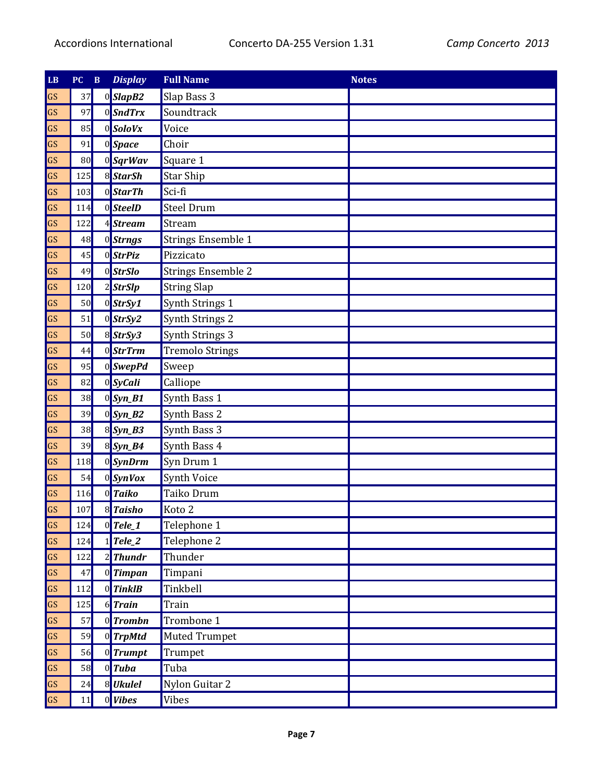| LB | $\overline{\mathbf{PC}}$ | $\, {\bf B}$ | <b>Display</b>    | <b>Full Name</b>          | <b>Notes</b> |
|----|--------------------------|--------------|-------------------|---------------------------|--------------|
| GS | 37                       |              | 0SlapB2           | Slap Bass 3               |              |
| GS | 97                       |              | 0 SndTrx          | Soundtrack                |              |
| GS | 85                       |              | $0$ SoloVx        | Voice                     |              |
| GS | 91                       |              | 0Space            | Choir                     |              |
| GS | 80                       |              | 0 SqrWav          | Square 1                  |              |
| GS | 125                      |              | 8 StarSh          | <b>Star Ship</b>          |              |
| GS | 103                      |              | 0 StarTh          | Sci-fi                    |              |
| GS | 114                      |              | 0 <b>SteelD</b>   | <b>Steel Drum</b>         |              |
| GS | 122                      |              | <b>Stream</b>     | Stream                    |              |
| GS | 48                       |              | 0Strngs           | <b>Strings Ensemble 1</b> |              |
| GS | 45                       |              | 0 StrPiz          | Pizzicato                 |              |
| GS | 49                       |              | 0 StrSlo          | <b>Strings Ensemble 2</b> |              |
| GS | 120                      |              | $2$ StrSlp        | <b>String Slap</b>        |              |
| GS | 50                       |              | $0$ StrSy1        | Synth Strings 1           |              |
| GS | 51                       |              | $0$ StrSy2        | Synth Strings 2           |              |
| GS | 50                       |              | $8$ StrSy3        | Synth Strings 3           |              |
| GS | 44                       |              | 0 <b>StrTrm</b>   | <b>Tremolo Strings</b>    |              |
| GS | 95                       |              | 0SwepPd           | Sweep                     |              |
| GS | 82                       |              | $0$ SyCali        | Calliope                  |              |
| GS | 38                       |              | $0$ Syn_B1        | Synth Bass 1              |              |
| GS | 39                       |              | $0$ Syn_B2        | Synth Bass 2              |              |
| GS | 38                       |              | 8 Syn_B3          | Synth Bass 3              |              |
| GS | 39                       |              | 8 Syn_B4          | Synth Bass 4              |              |
| GS | 118                      |              | 0SynDrm           | Syn Drum 1                |              |
| GS | 54                       |              | 0SynVox           | Synth Voice               |              |
| GS | 116                      |              | 0 Taiko           | Taiko Drum                |              |
| GS | 107                      |              | 8 Taisho          | Koto <sub>2</sub>         |              |
| GS | 124                      |              | $0$ Tele_1        | Telephone 1               |              |
| GS | 124                      |              | $Tele_2$          | Telephone 2               |              |
| GS | 122                      |              | $2$ <i>Thundr</i> | Thunder                   |              |
| GS | 47                       |              | 0 Timpan          | Timpani                   |              |
| GS | 112                      |              | $0$ <i>TinkIB</i> | Tinkbell                  |              |
| GS | 125                      |              | $6$ Train         | Train                     |              |
| GS | 57                       |              | 0 Trombn          | Trombone 1                |              |
| GS | 59                       |              | 0 TrpMtd          | <b>Muted Trumpet</b>      |              |
| GS | 56                       |              | 0 Trumpt          | Trumpet                   |              |
| GS | 58                       |              | $0$ <i>Tuba</i>   | Tuba                      |              |
| GS | 24                       |              | 8 Ukulel          | Nylon Guitar 2            |              |
| GS | 11                       |              | $0$ <i>Vibes</i>  | <b>Vibes</b>              |              |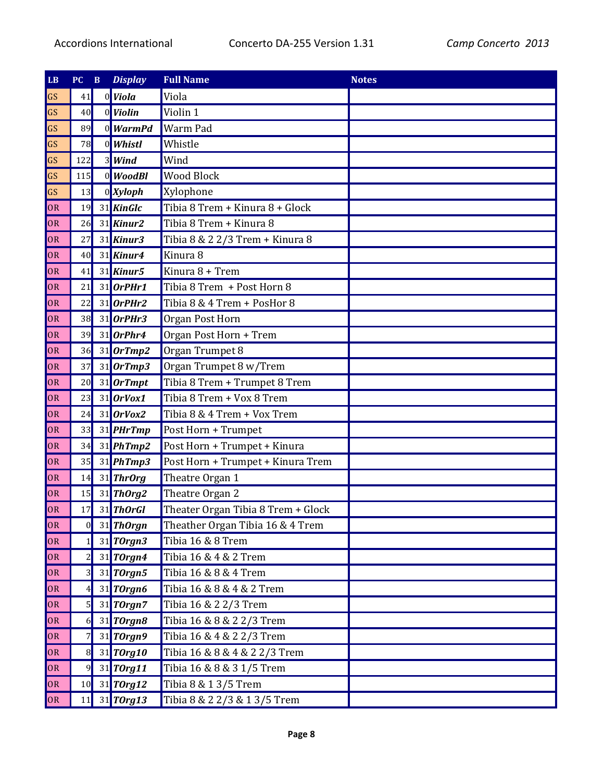| $\mathbf{LB}$ | PC              | $\, {\bf B}$ | <b>Display</b>    | <b>Full Name</b>                   | <b>Notes</b> |
|---------------|-----------------|--------------|-------------------|------------------------------------|--------------|
| GS            | 41              |              | $0$ Viola         | Viola                              |              |
| GS            | 40              |              | $0$ <i>Violin</i> | Violin 1                           |              |
| GS            | 89              |              | 0 WarmPd          | Warm Pad                           |              |
| GS            | 78              |              | 0 Whistl          | Whistle                            |              |
| GS            | 122             |              | 3 Wind            | Wind                               |              |
| GS            | 115             |              | $0$ <i>WoodBl</i> | <b>Wood Block</b>                  |              |
| GS            | 13              |              | $0$ Xyloph        | Xylophone                          |              |
| OR            | 19              |              | 31 KinGlc         | Tibia 8 Trem + Kinura 8 + Glock    |              |
| OR            | 26              |              | $31$ Kinur2       | Tibia 8 Trem + Kinura 8            |              |
| OR            | 27              |              | $31$ Kinur3       | Tibia 8 & 2 2/3 Trem + Kinura 8    |              |
| OR            | 40              |              | $31$ Kinur4       | Kinura 8                           |              |
| OR            | 41              |              | 31 Kinur5         | Kinura 8 + Trem                    |              |
| <b>OR</b>     | 21              |              | $31$ OrPHr1       | Tibia 8 Trem + Post Horn 8         |              |
| OR            | 22              |              | $31$ OrPHr2       | Tibia 8 & 4 Trem + PosHor 8        |              |
| OR            | 38              |              | 31 OrPHr3         | Organ Post Horn                    |              |
| OR            | 39              |              | $31$ OrPhr4       | Organ Post Horn + Trem             |              |
| OR            | 36              |              | $31$ OrTmp2       | Organ Trumpet 8                    |              |
| OR            | 37              |              | $31$ OrTmp3       | Organ Trumpet 8 w/Trem             |              |
| OR            | 20              |              | 31 OrTmpt         | Tibia 8 Trem + Trumpet 8 Trem      |              |
| OR            | 23              |              | $31$ OrVox1       | Tibia 8 Trem + Vox 8 Trem          |              |
| OR            | 24              |              | $31$ OrVox2       | Tibia 8 & 4 Trem + Vox Trem        |              |
| OR            | 33              |              | 31 PHrTmp         | Post Horn + Trumpet                |              |
| OR            | 34              |              | 31 PhTmp2         | Post Horn + Trumpet + Kinura       |              |
| OR            | 35              |              | $31$ PhTmp3       | Post Horn + Trumpet + Kinura Trem  |              |
| OR            | 14              |              | 31 ThrOrg         | Theatre Organ 1                    |              |
| OR            | 15              |              | $31$ ThOrg2       | Theatre Organ 2                    |              |
| OR            | 17              |              | 31 ThOrGI         | Theater Organ Tibia 8 Trem + Glock |              |
| OR            | 0               |              | 31 ThOrgn         | Theather Organ Tibia 16 & 4 Trem   |              |
| OR            | $1\vert$        |              | 31 TOrgn3         | Tibia 16 & 8 Trem                  |              |
| OR            | $\overline{2}$  |              | 31 TOrgn4         | Tibia 16 & 4 & 2 Trem              |              |
| OR            | $\overline{3}$  |              | 31 TOrgn5         | Tibia 16 & 8 & 4 Trem              |              |
| OR            | 4               |              | 31 TOrgn6         | Tibia 16 & 8 & 4 & 2 Trem          |              |
| OR            | $5\vert$        |              | $31$ TOrgn7       | Tibia 16 & 2 2/3 Trem              |              |
| OR            | 6               |              | 31 TOrgn8         | Tibia 16 & 8 & 2 2/3 Trem          |              |
| OR            | $\overline{7}$  |              | $31$ TOrgn9       | Tibia 16 & 4 & 2 2/3 Trem          |              |
| OR            | $\vert 8 \vert$ |              | 31 TOrg10         | Tibia 16 & 8 & 4 & 2 2/3 Trem      |              |
| OR            | $\overline{9}$  |              | 31 TOrg11         | Tibia 16 & 8 & 3 1/5 Trem          |              |
| OR            | 10              |              | $31$ TOrg12       | Tibia 8 & 1 3/5 Trem               |              |
| OR            | 11              |              | $31$ TOrg13       | Tibia 8 & 2 2/3 & 1 3/5 Trem       |              |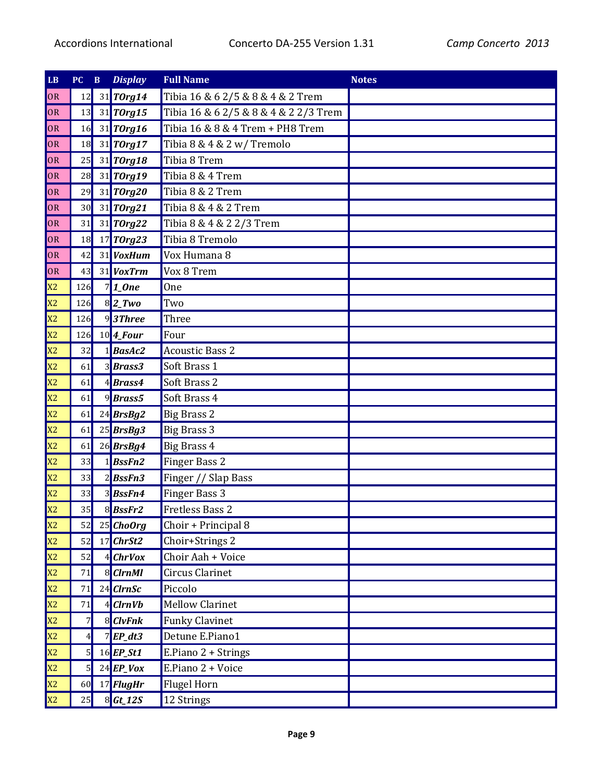| $\mathbf{L}\mathbf{B}$ | PC             | $\, {\bf B}$ | <b>Display</b>                      | <b>Full Name</b>                      | <b>Notes</b> |
|------------------------|----------------|--------------|-------------------------------------|---------------------------------------|--------------|
| OR                     | 12             |              | 31 TOrg14                           | Tibia 16 & 6 2/5 & 8 & 4 & 2 Trem     |              |
| OR                     | 13             |              | 31 TOrg15                           | Tibia 16 & 6 2/5 & 8 & 4 & 2 2/3 Trem |              |
| OR                     | 16             |              | 31 TOrg16                           | Tibia 16 & 8 & 4 Trem + PH8 Trem      |              |
| OR                     | 18             |              | 31 TOrg17                           | Tibia 8 & 4 & 2 w/ Tremolo            |              |
| OR                     | 25             |              | $31$ TOrg18                         | Tibia 8 Trem                          |              |
| OR                     | 28             |              | 31 TOrg19                           | Tibia 8 & 4 Trem                      |              |
| OR                     | 29             |              | 31 TOrg20                           | Tibia 8 & 2 Trem                      |              |
| OR                     | 30             |              | 31 TOrg21                           | Tibia 8 & 4 & 2 Trem                  |              |
| OR                     | 31             |              | 31 TOrg22                           | Tibia 8 & 4 & 2 2/3 Trem              |              |
| OR                     | 18             |              | $17$ TOrg23                         | Tibia 8 Tremolo                       |              |
| OR                     | 42             |              | 31 VoxHum                           | Vox Humana 8                          |              |
| OR                     | 43             |              | 31 VoxTrm                           | Vox 8 Trem                            |              |
| X2                     | 126            |              | $7$  1_0ne                          | <b>One</b>                            |              |
| X2                     | 126            |              | $8$  2_Two                          | Two                                   |              |
| X2                     | 126            |              | $9$ 3Three                          | Three                                 |              |
| X2                     | 126            |              | $10$ <sup><math>4</math></sup> Four | Four                                  |              |
| X2                     | 32             |              | $1$ <i>BasAc2</i>                   | <b>Acoustic Bass 2</b>                |              |
| X2                     | 61             |              | 3Brass3                             | Soft Brass 1                          |              |
| X2                     | 61             |              | 4Brass4                             | Soft Brass 2                          |              |
| X2                     | 61             |              | $9$ <i>Brass5</i>                   | Soft Brass 4                          |              |
| X2                     | 61             |              | $24$ <i>BrsBg2</i>                  | <b>Big Brass 2</b>                    |              |
| X2                     | 61             |              | 25 BrsBg3                           | <b>Big Brass 3</b>                    |              |
| X2                     | 61             |              | $26$ <i>BrsBg4</i>                  | <b>Big Brass 4</b>                    |              |
| X2                     | 33             |              | $1$ <i>BssFn2</i>                   | Finger Bass 2                         |              |
| X <sub>2</sub>         | 33             |              | 2BssFn3                             | Finger // Slap Bass                   |              |
| X <sub>2</sub>         | 33             |              | 3BssFn4                             | Finger Bass 3                         |              |
| X <sub>2</sub>         | 35             |              | 8BssFr2                             | <b>Fretless Bass 2</b>                |              |
| X2                     | 52             |              | $25$ ChoOrg                         | Choir + Principal 8                   |              |
| X2                     | 52             |              | $17$ ChrSt2                         | Choir+Strings 2                       |              |
| X2                     | 52             |              | 4 ChrVox                            | Choir Aah + Voice                     |              |
| X2                     | 71             |              | 8 ClrnMl                            | Circus Clarinet                       |              |
| X2                     | 71             |              | $24$ ClrnSc                         | Piccolo                               |              |
| X2                     | 71             |              | 4 ClrnVb                            | <b>Mellow Clarinet</b>                |              |
| X2                     | $\overline{7}$ |              | 8 ClvFnk                            | <b>Funky Clavinet</b>                 |              |
| X2                     | 4              |              | $7$ <i>EP_dt3</i>                   | Detune E.Piano1                       |              |
| X2                     | 5              |              | $16$ EP_St1                         | E.Piano 2 + Strings                   |              |
| X2                     | $5\vert$       |              | $24$ EP_Vox                         | E.Piano 2 + Voice                     |              |
| X2                     | 60             |              | 17 FlugHr                           | <b>Flugel Horn</b>                    |              |
| X2                     | 25             |              | $8$ <i>Gt_12S</i>                   | 12 Strings                            |              |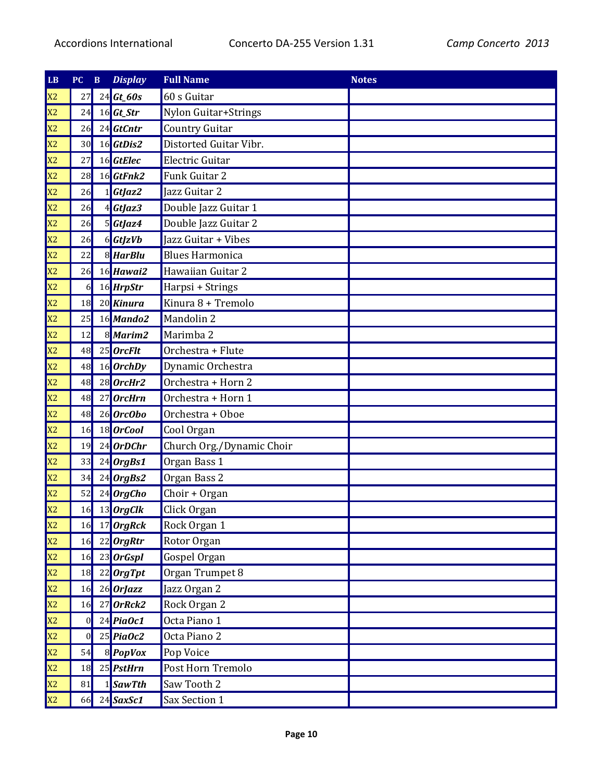| LB             | PC             | $\, {\bf B}$ | <b>Display</b>     | <b>Full Name</b>          | <b>Notes</b> |
|----------------|----------------|--------------|--------------------|---------------------------|--------------|
| X <sub>2</sub> | 27             |              | $24$ Gt_60s        | 60 s Guitar               |              |
| X <sub>2</sub> | 24             |              | $16$ <i>Gt_Str</i> | Nylon Guitar+Strings      |              |
| X <sub>2</sub> | 26             |              | $24$ <i>GtCntr</i> | <b>Country Guitar</b>     |              |
| X <sub>2</sub> | 30             |              | $16$ GtDis2        | Distorted Guitar Vibr.    |              |
| X <sub>2</sub> | 27             |              | 16 GtElec          | Electric Guitar           |              |
| X <sub>2</sub> | 28             |              | 16 GtFnk2          | Funk Guitar 2             |              |
| X <sub>2</sub> | 26             |              | $1$ GtJaz2         | Jazz Guitar 2             |              |
| X <sub>2</sub> | 26             |              | $4$ <i>GtJaz3</i>  | Double Jazz Guitar 1      |              |
| X <sub>2</sub> | 26             |              | 5GtJaz4            | Double Jazz Guitar 2      |              |
| X <sub>2</sub> | 26             |              | $6$ <i>GtJzVb</i>  | Jazz Guitar + Vibes       |              |
| X <sub>2</sub> | 22             |              | 8 HarBlu           | <b>Blues Harmonica</b>    |              |
| X <sub>2</sub> | 26             |              | 16 Hawai2          | Hawaiian Guitar 2         |              |
| X <sub>2</sub> | $6 \mid$       |              | 16 HrpStr          | Harpsi + Strings          |              |
| X <sub>2</sub> | 18             |              | 20 Kinura          | Kinura 8 + Tremolo        |              |
| X <sub>2</sub> | 25             |              | 16 Mando2          | Mandolin 2                |              |
| X <sub>2</sub> | 12             |              | 8 Marim2           | Marimba 2                 |              |
| X <sub>2</sub> | 48             |              | $25$ OrcFlt        | Orchestra + Flute         |              |
| X <sub>2</sub> | 48             |              | $16$ OrchDy        | Dynamic Orchestra         |              |
| X <sub>2</sub> | 48             |              | $28$ OrcHr2        | Orchestra + Horn 2        |              |
| X <sub>2</sub> | 48             |              | 27 OrcHrn          | Orchestra + Horn 1        |              |
| X <sub>2</sub> | 48             |              | 26 OrcObo          | Orchestra + Oboe          |              |
| X <sub>2</sub> | 16             |              | 18 OrCool          | Cool Organ                |              |
| X <sub>2</sub> | 19             |              | $24$ OrDChr        | Church Org./Dynamic Choir |              |
| X <sub>2</sub> | 33             |              | $24$ OrgBs1        | Organ Bass 1              |              |
| X <sub>2</sub> | 34             |              | $24$ OrgBs2        | Organ Bass 2              |              |
| X <sub>2</sub> | 52             |              | $24$ OrgCho        | Choir + Organ             |              |
| X <sub>2</sub> | 16             |              | 13 OrgClk          | Click Organ               |              |
| X2             | 16             |              | 17 OrgRck          | Rock Organ 1              |              |
| X <sub>2</sub> | 16             |              | 22 OrgRtr          | Rotor Organ               |              |
| X <sub>2</sub> | 16             |              | $23$ OrGspl        | Gospel Organ              |              |
| X <sub>2</sub> | 18             |              | $22$ <i>OrgTpt</i> | Organ Trumpet 8           |              |
| X2             | 16             |              | $26$ OrJazz        | Jazz Organ 2              |              |
| X2             | 16             |              | $27$ OrRck2        | Rock Organ 2              |              |
| X2             | 0              |              | $24$ PiaOc1        | Octa Piano 1              |              |
| X <sub>2</sub> | $\overline{0}$ |              | $25$ PiaOc2        | Octa Piano 2              |              |
| X <sub>2</sub> | 54             |              | 8 PopVox           | Pop Voice                 |              |
| X <sub>2</sub> | <b>18</b>      |              | 25 PstHrn          | Post Horn Tremolo         |              |
| X <sub>2</sub> | 81             |              | $1$ SawTth         | Saw Tooth 2               |              |
| X2             | 66             |              | $24$ SaxSc1        | Sax Section 1             |              |